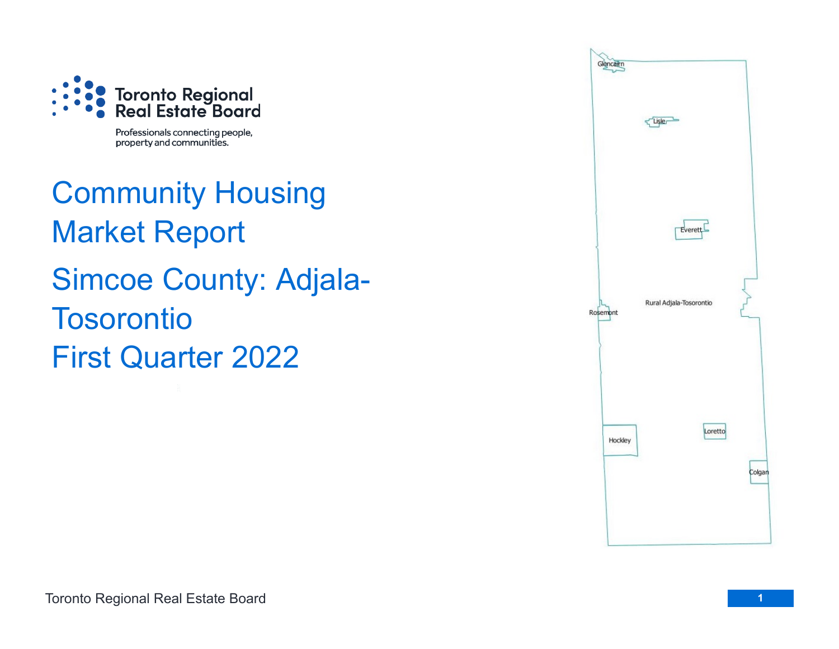

Professionals connecting people, property and communities.

Community Housing Market Report Simcoe County: Adjala-**Tosorontio** First Quarter 2022

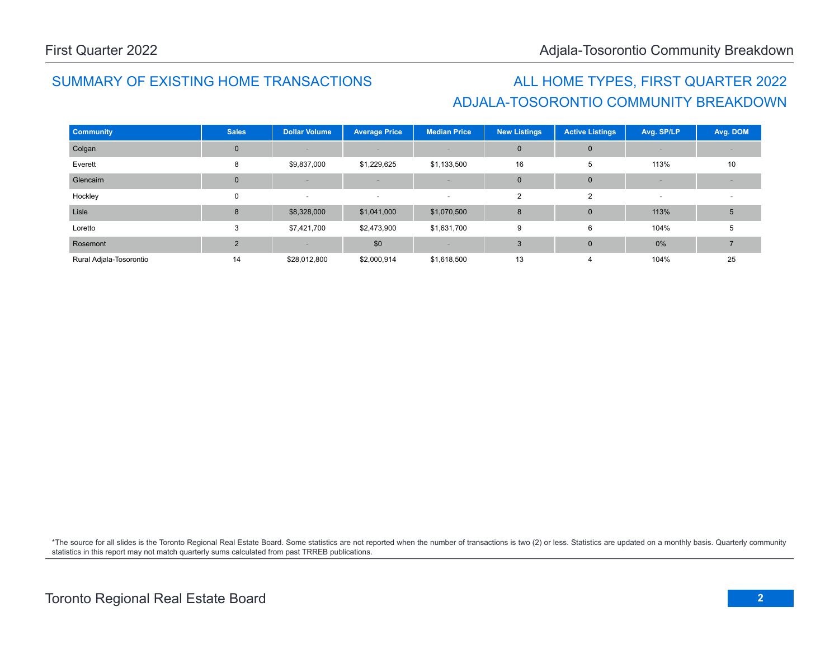# ADJALA-TOSORONTIO COMMUNITY BREAKDOWN SUMMARY OF EXISTING HOME TRANSACTIONS ALL HOME TYPES, FIRST QUARTER 2022

| <b>Community</b>        | <b>Sales</b>  | <b>Dollar Volume</b> | <b>Average Price</b> | <b>Median Price</b> | <b>New Listings</b> | <b>Active Listings</b> | Avg. SP/LP | Avg. DOM |
|-------------------------|---------------|----------------------|----------------------|---------------------|---------------------|------------------------|------------|----------|
| Colgan                  | $\Omega$      |                      |                      |                     | $\mathbf 0$         | $\Omega$               |            |          |
| Everett                 | 8             | \$9,837,000          | \$1,229,625          | \$1,133,500         | 16                  | 5                      | 113%       | 10       |
| Glencairn               | $\Omega$      |                      |                      |                     | $\mathbf 0$         | $\mathbf{0}$           |            |          |
| Hockley                 | $\Omega$      | $\sim$               | $\sim$               | $\sim$              | $\overline{2}$      | $\overline{2}$         |            |          |
| Lisle                   | 8             | \$8,328,000          | \$1,041,000          | \$1,070,500         | 8                   | $\mathbf{0}$           | 113%       | 5        |
| Loretto                 | 3             | \$7,421,700          | \$2,473,900          | \$1,631,700         | 9                   | 6                      | 104%       | 5        |
| Rosemont                | $\mathcal{P}$ |                      | \$0                  |                     | 3                   | $\overline{0}$         | 0%         |          |
| Rural Adjala-Tosorontio | 14            | \$28,012,800         | \$2,000,914          | \$1,618,500         | 13                  | 4                      | 104%       | 25       |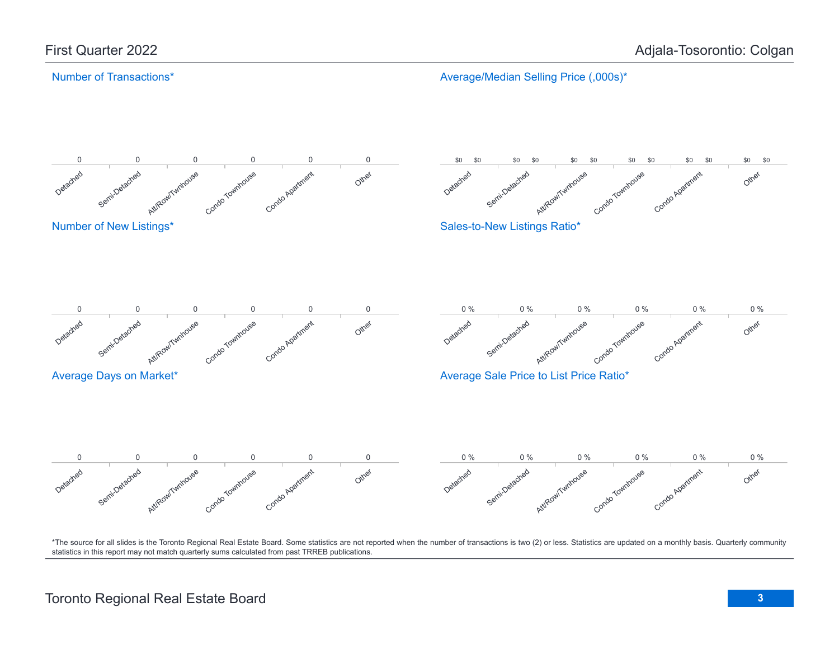## Number of Transactions\*

Average/Median Selling Price (,000s)\*

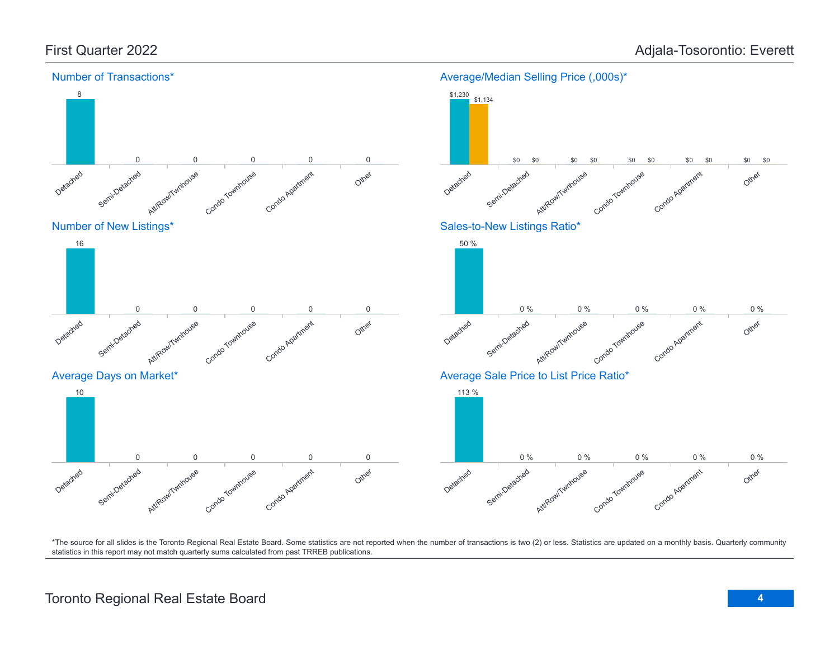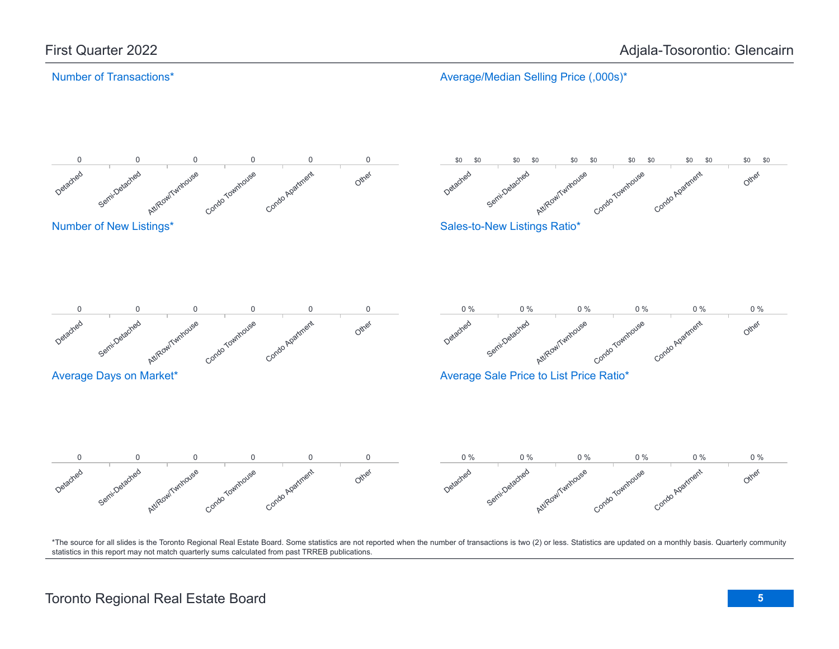### Number of Transactions\*

Average/Median Selling Price (,000s)\*

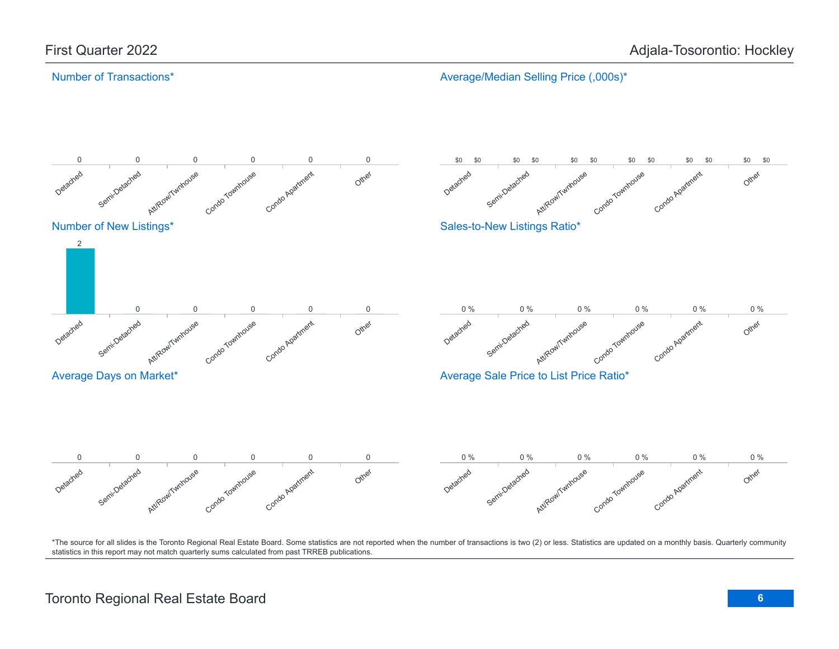## Number of Transactions\*

Average/Median Selling Price (,000s)\*

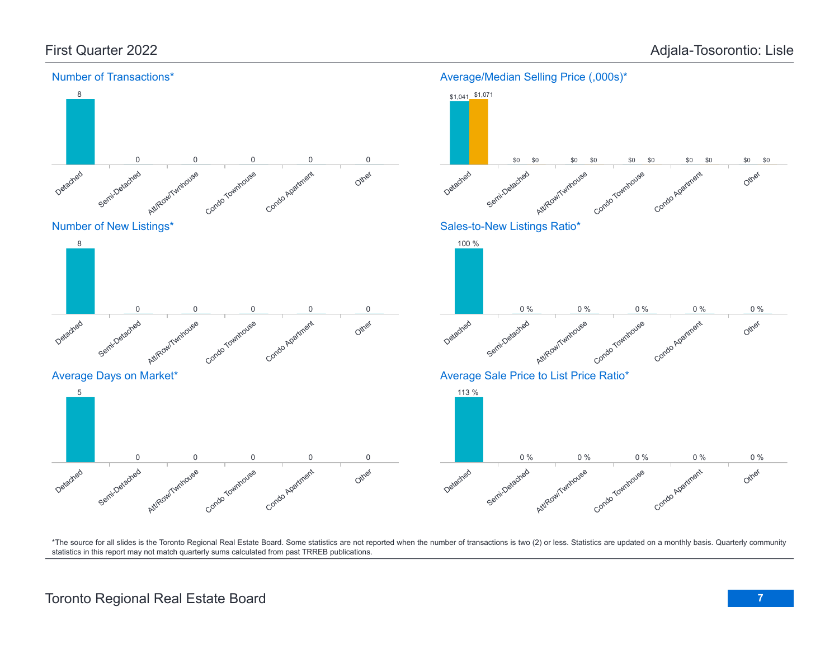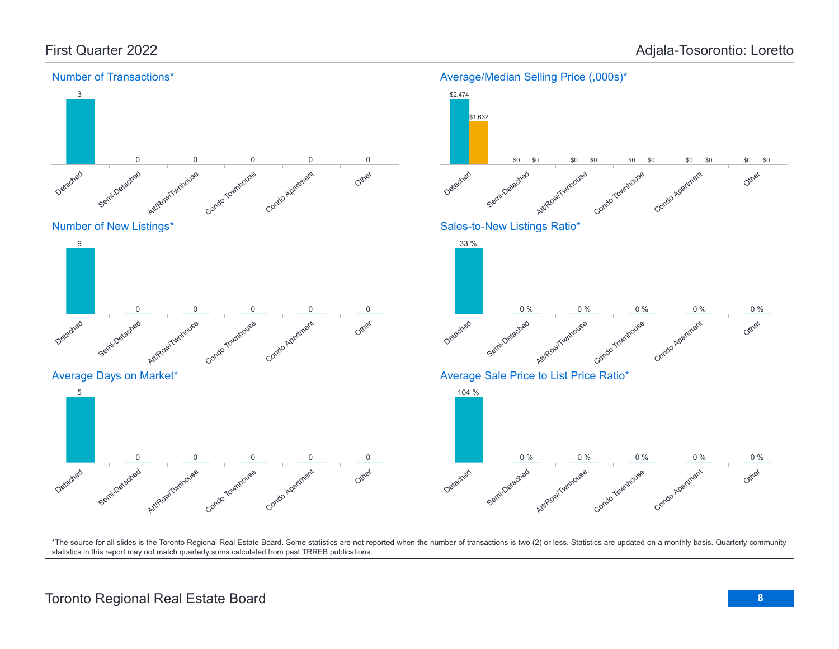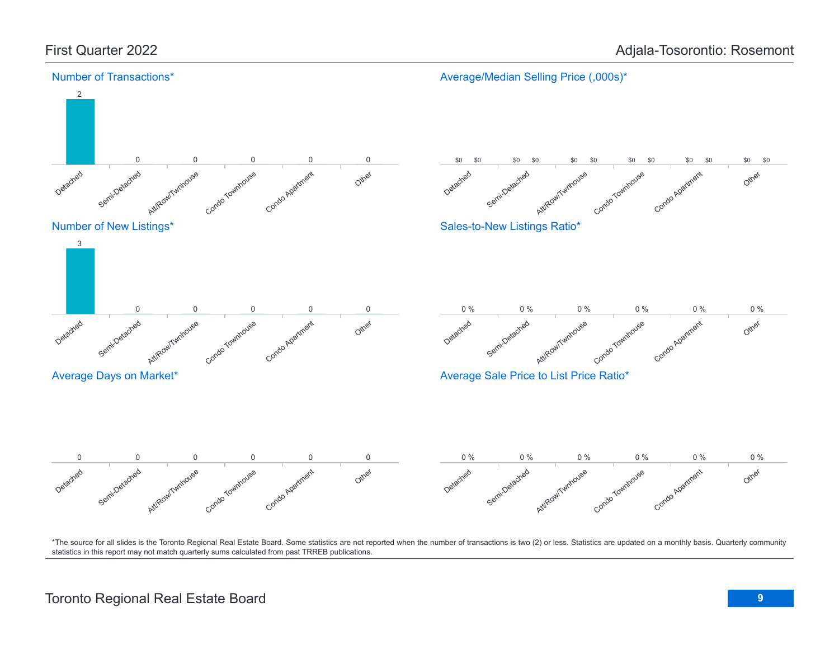